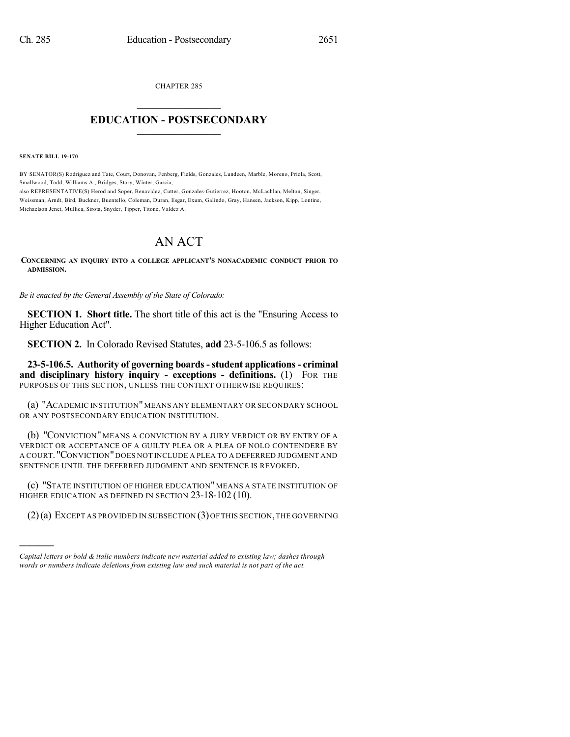CHAPTER 285

## $\overline{\phantom{a}}$  . The set of the set of the set of the set of the set of the set of the set of the set of the set of the set of the set of the set of the set of the set of the set of the set of the set of the set of the set o **EDUCATION - POSTSECONDARY**  $\_$   $\_$   $\_$   $\_$   $\_$   $\_$   $\_$   $\_$   $\_$

**SENATE BILL 19-170**

)))))

BY SENATOR(S) Rodriguez and Tate, Court, Donovan, Fenberg, Fields, Gonzales, Lundeen, Marble, Moreno, Priola, Scott, Smallwood, Todd, Williams A., Bridges, Story, Winter, Garcia;

also REPRESENTATIVE(S) Herod and Soper, Benavidez, Cutter, Gonzales-Gutierrez, Hooton, McLachlan, Melton, Singer, Weissman, Arndt, Bird, Buckner, Buentello, Coleman, Duran, Esgar, Exum, Galindo, Gray, Hansen, Jackson, Kipp, Lontine, Michaelson Jenet, Mullica, Sirota, Snyder, Tipper, Titone, Valdez A.

## AN ACT

**CONCERNING AN INQUIRY INTO A COLLEGE APPLICANT'S NONACADEMIC CONDUCT PRIOR TO ADMISSION.**

*Be it enacted by the General Assembly of the State of Colorado:*

**SECTION 1. Short title.** The short title of this act is the "Ensuring Access to Higher Education Act".

**SECTION 2.** In Colorado Revised Statutes, **add** 23-5-106.5 as follows:

**23-5-106.5. Authority of governing boards-student applications- criminal and disciplinary history inquiry - exceptions - definitions.** (1) FOR THE PURPOSES OF THIS SECTION, UNLESS THE CONTEXT OTHERWISE REQUIRES:

(a) "ACADEMIC INSTITUTION"MEANS ANY ELEMENTARY OR SECONDARY SCHOOL OR ANY POSTSECONDARY EDUCATION INSTITUTION.

(b) "CONVICTION" MEANS A CONVICTION BY A JURY VERDICT OR BY ENTRY OF A VERDICT OR ACCEPTANCE OF A GUILTY PLEA OR A PLEA OF NOLO CONTENDERE BY A COURT. "CONVICTION"DOES NOT INCLUDE A PLEA TO A DEFERRED JUDGMENT AND SENTENCE UNTIL THE DEFERRED JUDGMENT AND SENTENCE IS REVOKED.

(c) "STATE INSTITUTION OF HIGHER EDUCATION" MEANS A STATE INSTITUTION OF HIGHER EDUCATION AS DEFINED IN SECTION 23-18-102 (10).

(2)(a) EXCEPT AS PROVIDED IN SUBSECTION (3)OFTHIS SECTION,THE GOVERNING

*Capital letters or bold & italic numbers indicate new material added to existing law; dashes through words or numbers indicate deletions from existing law and such material is not part of the act.*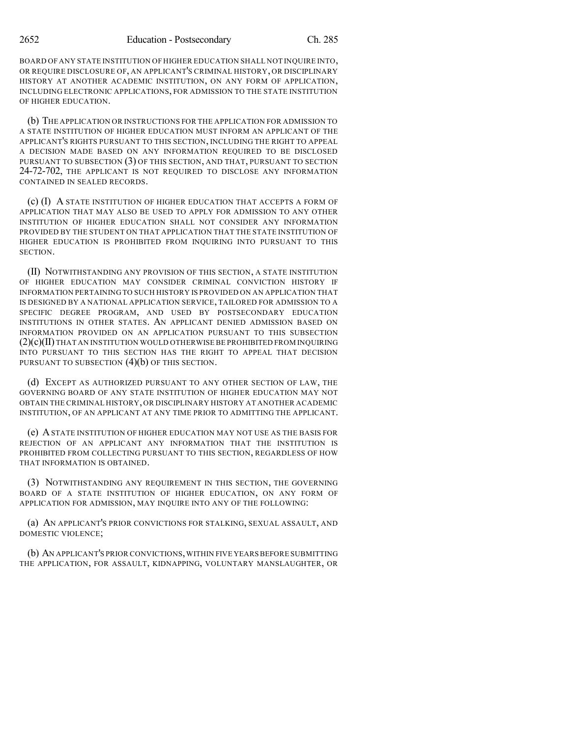BOARD OF ANY STATE INSTITUTION OF HIGHER EDUCATION SHALL NOT INQUIRE INTO, OR REQUIRE DISCLOSURE OF, AN APPLICANT'S CRIMINAL HISTORY, OR DISCIPLINARY HISTORY AT ANOTHER ACADEMIC INSTITUTION, ON ANY FORM OF APPLICATION, INCLUDING ELECTRONIC APPLICATIONS, FOR ADMISSION TO THE STATE INSTITUTION OF HIGHER EDUCATION.

(b) THE APPLICATION OR INSTRUCTIONS FOR THE APPLICATION FOR ADMISSION TO A STATE INSTITUTION OF HIGHER EDUCATION MUST INFORM AN APPLICANT OF THE APPLICANT'S RIGHTS PURSUANT TO THIS SECTION, INCLUDING THE RIGHT TO APPEAL A DECISION MADE BASED ON ANY INFORMATION REQUIRED TO BE DISCLOSED PURSUANT TO SUBSECTION (3) OF THIS SECTION, AND THAT, PURSUANT TO SECTION 24-72-702, THE APPLICANT IS NOT REQUIRED TO DISCLOSE ANY INFORMATION CONTAINED IN SEALED RECORDS.

(c) (I) A STATE INSTITUTION OF HIGHER EDUCATION THAT ACCEPTS A FORM OF APPLICATION THAT MAY ALSO BE USED TO APPLY FOR ADMISSION TO ANY OTHER INSTITUTION OF HIGHER EDUCATION SHALL NOT CONSIDER ANY INFORMATION PROVIDED BY THE STUDENT ON THAT APPLICATION THAT THE STATE INSTITUTION OF HIGHER EDUCATION IS PROHIBITED FROM INQUIRING INTO PURSUANT TO THIS SECTION.

(II) NOTWITHSTANDING ANY PROVISION OF THIS SECTION, A STATE INSTITUTION OF HIGHER EDUCATION MAY CONSIDER CRIMINAL CONVICTION HISTORY IF INFORMATION PERTAINING TO SUCH HISTORY IS PROVIDED ON AN APPLICATION THAT IS DESIGNED BY A NATIONAL APPLICATION SERVICE, TAILORED FOR ADMISSION TO A SPECIFIC DEGREE PROGRAM, AND USED BY POSTSECONDARY EDUCATION INSTITUTIONS IN OTHER STATES. AN APPLICANT DENIED ADMISSION BASED ON INFORMATION PROVIDED ON AN APPLICATION PURSUANT TO THIS SUBSECTION  $(2)(c)(II)$  THAT AN INSTITUTION WOULD OTHERWISE BE PROHIBITED FROM INQUIRING INTO PURSUANT TO THIS SECTION HAS THE RIGHT TO APPEAL THAT DECISION PURSUANT TO SUBSECTION  $(4)(b)$  OF THIS SECTION.

(d) EXCEPT AS AUTHORIZED PURSUANT TO ANY OTHER SECTION OF LAW, THE GOVERNING BOARD OF ANY STATE INSTITUTION OF HIGHER EDUCATION MAY NOT OBTAIN THE CRIMINAL HISTORY, OR DISCIPLINARY HISTORY AT ANOTHER ACADEMIC INSTITUTION, OF AN APPLICANT AT ANY TIME PRIOR TO ADMITTING THE APPLICANT.

(e) ASTATE INSTITUTION OF HIGHER EDUCATION MAY NOT USE AS THE BASIS FOR REJECTION OF AN APPLICANT ANY INFORMATION THAT THE INSTITUTION IS PROHIBITED FROM COLLECTING PURSUANT TO THIS SECTION, REGARDLESS OF HOW THAT INFORMATION IS OBTAINED.

(3) NOTWITHSTANDING ANY REQUIREMENT IN THIS SECTION, THE GOVERNING BOARD OF A STATE INSTITUTION OF HIGHER EDUCATION, ON ANY FORM OF APPLICATION FOR ADMISSION, MAY INQUIRE INTO ANY OF THE FOLLOWING:

(a) AN APPLICANT'S PRIOR CONVICTIONS FOR STALKING, SEXUAL ASSAULT, AND DOMESTIC VIOLENCE;

(b) AN APPLICANT'S PRIOR CONVICTIONS, WITHIN FIVE YEARS BEFORE SUBMITTING THE APPLICATION, FOR ASSAULT, KIDNAPPING, VOLUNTARY MANSLAUGHTER, OR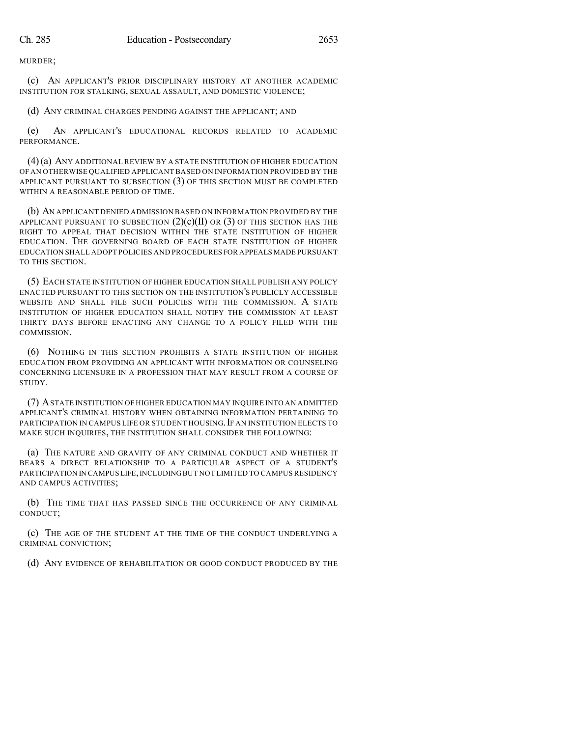MURDER;

(c) AN APPLICANT'S PRIOR DISCIPLINARY HISTORY AT ANOTHER ACADEMIC INSTITUTION FOR STALKING, SEXUAL ASSAULT, AND DOMESTIC VIOLENCE;

(d) ANY CRIMINAL CHARGES PENDING AGAINST THE APPLICANT; AND

(e) AN APPLICANT'S EDUCATIONAL RECORDS RELATED TO ACADEMIC PERFORMANCE.

(4)(a) ANY ADDITIONAL REVIEW BY A STATE INSTITUTION OF HIGHER EDUCATION OF AN OTHERWISE QUALIFIED APPLICANT BASED ON INFORMATION PROVIDED BY THE APPLICANT PURSUANT TO SUBSECTION (3) OF THIS SECTION MUST BE COMPLETED WITHIN A REASONABLE PERIOD OF TIME.

(b) AN APPLICANT DENIED ADMISSION BASED ON INFORMATION PROVIDED BY THE APPLICANT PURSUANT TO SUBSECTION  $(2)(c)(II)$  OR  $(3)$  OF THIS SECTION HAS THE RIGHT TO APPEAL THAT DECISION WITHIN THE STATE INSTITUTION OF HIGHER EDUCATION. THE GOVERNING BOARD OF EACH STATE INSTITUTION OF HIGHER EDUCATION SHALL ADOPT POLICIES AND PROCEDURES FOR APPEALS MADE PURSUANT TO THIS SECTION.

(5) EACH STATE INSTITUTION OF HIGHER EDUCATION SHALL PUBLISH ANY POLICY ENACTED PURSUANT TO THIS SECTION ON THE INSTITUTION'S PUBLICLY ACCESSIBLE WEBSITE AND SHALL FILE SUCH POLICIES WITH THE COMMISSION. A STATE INSTITUTION OF HIGHER EDUCATION SHALL NOTIFY THE COMMISSION AT LEAST THIRTY DAYS BEFORE ENACTING ANY CHANGE TO A POLICY FILED WITH THE COMMISSION.

(6) NOTHING IN THIS SECTION PROHIBITS A STATE INSTITUTION OF HIGHER EDUCATION FROM PROVIDING AN APPLICANT WITH INFORMATION OR COUNSELING CONCERNING LICENSURE IN A PROFESSION THAT MAY RESULT FROM A COURSE OF STUDY.

(7) ASTATE INSTITUTION OF HIGHER EDUCATION MAY INQUIRE INTO AN ADMITTED APPLICANT'S CRIMINAL HISTORY WHEN OBTAINING INFORMATION PERTAINING TO PARTICIPATION IN CAMPUS LIFE OR STUDENT HOUSING.IF AN INSTITUTION ELECTS TO MAKE SUCH INQUIRIES, THE INSTITUTION SHALL CONSIDER THE FOLLOWING:

(a) THE NATURE AND GRAVITY OF ANY CRIMINAL CONDUCT AND WHETHER IT BEARS A DIRECT RELATIONSHIP TO A PARTICULAR ASPECT OF A STUDENT'S PARTICIPATION IN CAMPUS LIFE,INCLUDINGBUT NOT LIMITED TO CAMPUS RESIDENCY AND CAMPUS ACTIVITIES;

(b) THE TIME THAT HAS PASSED SINCE THE OCCURRENCE OF ANY CRIMINAL CONDUCT;

(c) THE AGE OF THE STUDENT AT THE TIME OF THE CONDUCT UNDERLYING A CRIMINAL CONVICTION;

(d) ANY EVIDENCE OF REHABILITATION OR GOOD CONDUCT PRODUCED BY THE